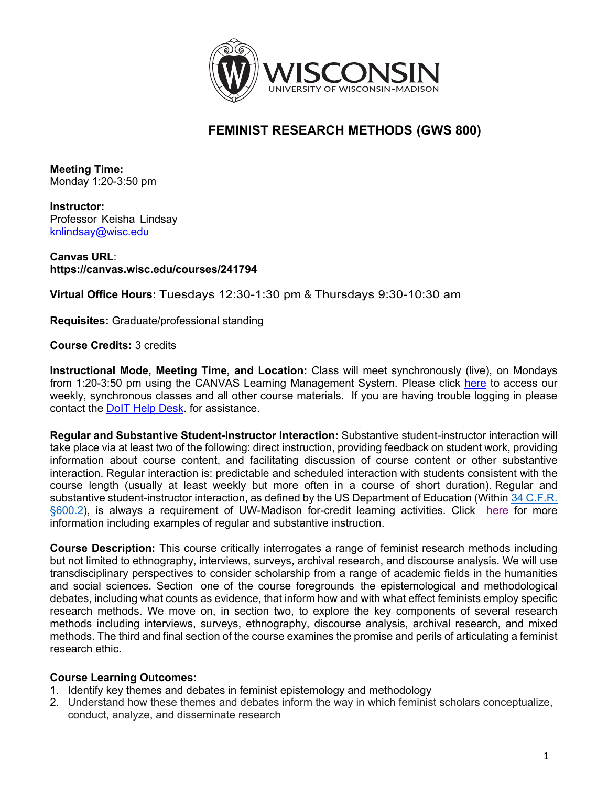

# **FEMINIST RESEARCH METHODS (GWS 800)**

**Meeting Time:** Monday 1:20-3:50 pm

**Instructor:** Professor Keisha Lindsay knlindsay@wisc.edu

**Canvas URL**: **https://canvas.wisc.edu/courses/241794**

**Virtual Office Hours:** Tuesdays 12:30-1:30 pm & Thursdays 9:30-10:30 am

**Requisites:** Graduate/professional standing

**Course Credits:** 3 credits

**Instructional Mode, Meeting Time, and Location:** Class will meet synchronously (live), on Mondays from 1:20-3:50 pm using the CANVAS Learning Management System. Please click here to access our weekly, synchronous classes and all other course materials. If you are having trouble logging in please contact the DoIT Help Desk. for assistance.

**Regular and Substantive Student-Instructor Interaction:** Substantive student-instructor interaction will take place via at least two of the following: direct instruction, providing feedback on student work, providing information about course content, and facilitating discussion of course content or other substantive interaction. Regular interaction is: predictable and scheduled interaction with students consistent with the course length (usually at least weekly but more often in a course of short duration). Regular and substantive student-instructor interaction, as defined by the US Department of Education (Within 34 C.F.R. §600.2), is always a requirement of UW-Madison for-credit learning activities. Click here for more information including examples of regular and substantive instruction.

**Course Description:** This course critically interrogates a range of feminist research methods including but not limited to ethnography, interviews, surveys, archival research, and discourse analysis. We will use transdisciplinary perspectives to consider scholarship from a range of academic fields in the humanities and social sciences. Section one of the course foregrounds the epistemological and methodological debates, including what counts as evidence, that inform how and with what effect feminists employ specific research methods. We move on, in section two, to explore the key components of several research methods including interviews, surveys, ethnography, discourse analysis, archival research, and mixed methods. The third and final section of the course examines the promise and perils of articulating a feminist research ethic.

### **Course Learning Outcomes:**

- 1. Identify key themes and debates in feminist epistemology and methodology
- 2. Understand how these themes and debates inform the way in which feminist scholars conceptualize, conduct, analyze, and disseminate research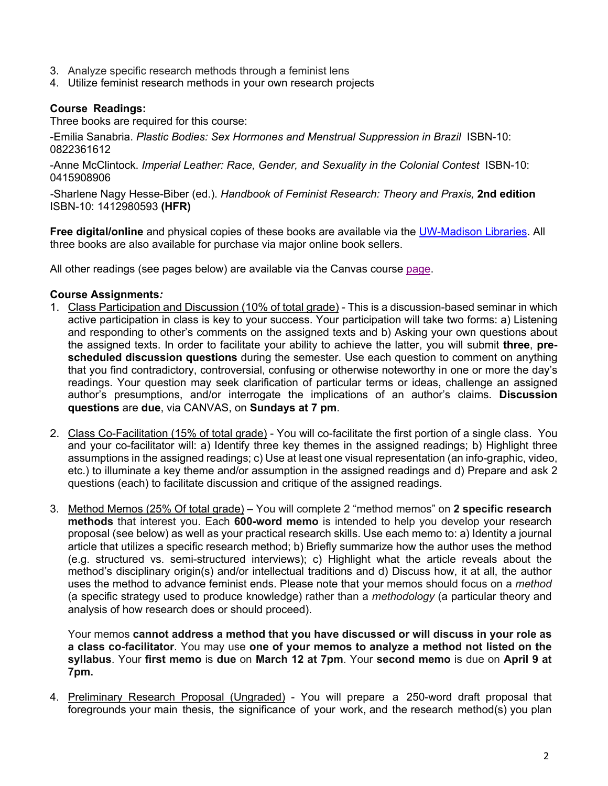- 3. Analyze specific research methods through a feminist lens
- 4. Utilize feminist research methods in your own research projects

# **Course Readings:**

Three books are required for this course:

-Emilia Sanabria. *Plastic Bodies: Sex Hormones and Menstrual Suppression in Brazil* ISBN-10: 0822361612

-Anne McClintock. *Imperial Leather: Race, Gender, and Sexuality in the Colonial Contest* ISBN-10: 0415908906

*-*Sharlene Nagy Hesse-Biber (ed.). *Handbook of Feminist Research: Theory and Praxis,* **2nd edition** ISBN-10: 1412980593 **(HFR)**

**Free digital/online** and physical copies of these books are available via the UW-Madison Libraries. All three books are also available for purchase via major online book sellers.

All other readings (see pages below) are available via the Canvas course page.

#### **Course Assignments***:*

- 1. Class Participation and Discussion (10% of total grade) This is a discussion-based seminar in which active participation in class is key to your success. Your participation will take two forms: a) Listening and responding to other's comments on the assigned texts and b) Asking your own questions about the assigned texts. In order to facilitate your ability to achieve the latter, you will submit **three**, **prescheduled discussion questions** during the semester. Use each question to comment on anything that you find contradictory, controversial, confusing or otherwise noteworthy in one or more the day's readings. Your question may seek clarification of particular terms or ideas, challenge an assigned author's presumptions, and/or interrogate the implications of an author's claims. **Discussion questions** are **due**, via CANVAS, on **Sundays at 7 pm**.
- 2. Class Co-Facilitation (15% of total grade) You will co-facilitate the first portion of a single class. You and your co-facilitator will: a) Identify three key themes in the assigned readings; b) Highlight three assumptions in the assigned readings; c) Use at least one visual representation (an info-graphic, video, etc.) to illuminate a key theme and/or assumption in the assigned readings and d) Prepare and ask 2 questions (each) to facilitate discussion and critique of the assigned readings.
- 3. Method Memos (25% Of total grade) You will complete 2 "method memos" on **2 specific research methods** that interest you. Each **600-word memo** is intended to help you develop your research proposal (see below) as well as your practical research skills. Use each memo to: a) Identity a journal article that utilizes a specific research method; b) Briefly summarize how the author uses the method (e.g. structured vs. semi-structured interviews); c) Highlight what the article reveals about the method's disciplinary origin(s) and/or intellectual traditions and d) Discuss how, it at all, the author uses the method to advance feminist ends. Please note that your memos should focus on a *method* (a specific strategy used to produce knowledge) rather than a *methodology* (a particular theory and analysis of how research does or should proceed).

Your memos **cannot address a method that you have discussed or will discuss in your role as a class co-facilitator**. You may use **one of your memos to analyze a method not listed on the syllabus**. Your **first memo** is **due** on **March 12 at 7pm**. Your **second memo** is due on **April 9 at 7pm.**

4. Preliminary Research Proposal (Ungraded) - You will prepare a 250-word draft proposal that foregrounds your main thesis, the significance of your work, and the research method(s) you plan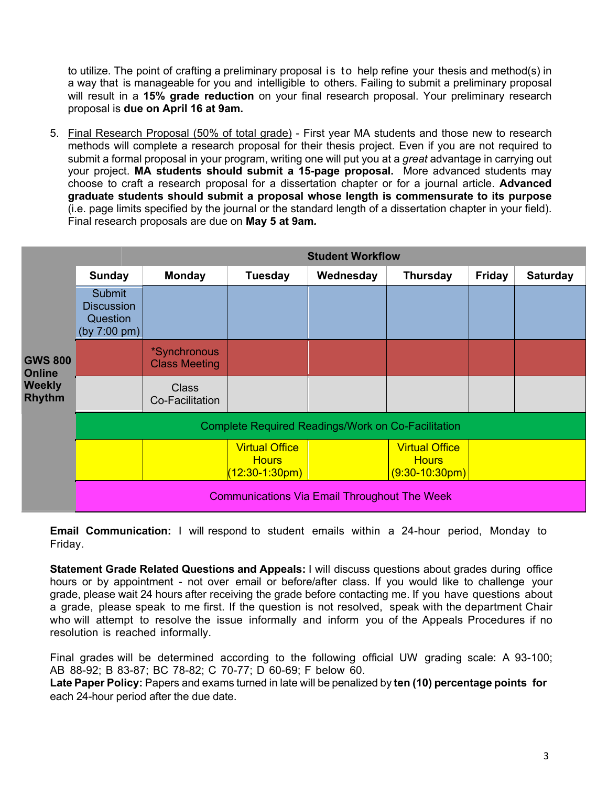to utilize. The point of crafting a preliminary proposal is to help refine your thesis and method(s) in a way that is manageable for you and intelligible to others. Failing to submit a preliminary proposal will result in a **15% grade reduction** on your final research proposal. Your preliminary research proposal is **due on April 16 at 9am.**

5. Final Research Proposal (50% of total grade) - First year MA students and those new to research methods will complete a research proposal for their thesis project. Even if you are not required to submit a formal proposal in your program, writing one will put you at a *great* advantage in carrying out your project. **MA students should submit a 15-page proposal.** More advanced students may choose to craft a research proposal for a dissertation chapter or for a journal article. **Advanced graduate students should submit a proposal whose length is commensurate to its purpose** (i.e. page limits specified by the journal or the standard length of a dissertation chapter in your field). Final research proposals are due on **May 5 at 9am***.*

|                                                                   | <b>Student Workflow</b>                                                   |                                      |                                                             |           |                                                           |               |                 |
|-------------------------------------------------------------------|---------------------------------------------------------------------------|--------------------------------------|-------------------------------------------------------------|-----------|-----------------------------------------------------------|---------------|-----------------|
| <b>GWS 800</b><br><b>Online</b><br><b>Weekly</b><br><b>Rhythm</b> | <b>Sunday</b>                                                             | <b>Monday</b>                        | <b>Tuesday</b>                                              | Wednesday | <b>Thursday</b>                                           | <b>Friday</b> | <b>Saturday</b> |
|                                                                   | <b>Submit</b><br><b>Discussion</b><br>Question<br>(by $7:00 \text{ pm}$ ) |                                      |                                                             |           |                                                           |               |                 |
|                                                                   |                                                                           | *Synchronous<br><b>Class Meeting</b> |                                                             |           |                                                           |               |                 |
|                                                                   |                                                                           | <b>Class</b><br>Co-Facilitation      |                                                             |           |                                                           |               |                 |
|                                                                   | <b>Complete Required Readings/Work on Co-Facilitation</b>                 |                                      |                                                             |           |                                                           |               |                 |
|                                                                   |                                                                           |                                      | <b>Virtual Office</b><br><b>Hours</b><br>$(12:30 - 1:30pm)$ |           | <b>Virtual Office</b><br><b>Hours</b><br>$(9:30-10:30pm)$ |               |                 |
|                                                                   | <b>Communications Via Email Throughout The Week</b>                       |                                      |                                                             |           |                                                           |               |                 |

**Email Communication:** I will respond to student emails within a 24-hour period, Monday to Friday.

**Statement Grade Related Questions and Appeals:** I will discuss questions about grades during office hours or by appointment - not over email or before/after class. If you would like to challenge your grade, please wait 24 hours after receiving the grade before contacting me. If you have questions about a grade, please speak to me first. If the question is not resolved, speak with the department Chair who will attempt to resolve the issue informally and inform you of the Appeals Procedures if no resolution is reached informally.

Final grades will be determined according to the following official UW grading scale: A 93-100; AB 88-92; B 83-87; BC 78-82; C 70-77; D 60-69; F below 60.

**Late Paper Policy:** Papers and exams turned in late will be penalized by **ten (10) percentage points for** each 24-hour period after the due date.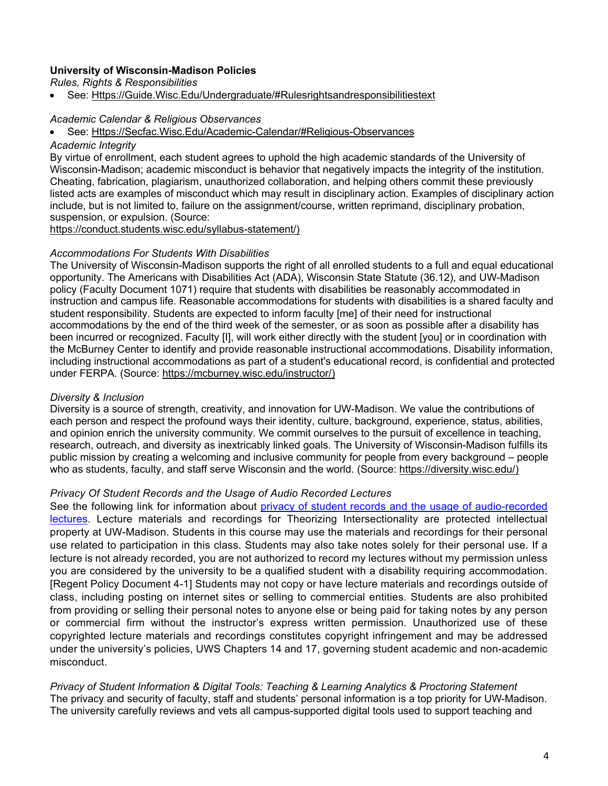#### **University of Wisconsin-Madison Policies**

*Rules, Rights & Responsibilities*

See: Https://Guide.Wisc.Edu/Undergraduate/#Rulesrightsandresponsibilitiestext

#### *Academic Calendar & Religious Observances*

#### • See: Https://Secfac.Wisc.Edu/Academic-Calendar/#Religious-Observances

#### *Academic Integrity*

By virtue of enrollment, each student agrees to uphold the high academic standards of the University of Wisconsin-Madison; academic misconduct is behavior that negatively impacts the integrity of the institution. Cheating, fabrication, plagiarism, unauthorized collaboration, and helping others commit these previously listed acts are examples of misconduct which may result in disciplinary action. Examples of disciplinary action include, but is not limited to, failure on the assignment/course, written reprimand, disciplinary probation, suspension, or expulsion. (Source:

https://conduct.students.wisc.edu/syllabus-statement/)

#### *Accommodations For Students With Disabilities*

The University of Wisconsin-Madison supports the right of all enrolled students to a full and equal educational opportunity. The Americans with Disabilities Act (ADA), Wisconsin State Statute (36.12), and UW-Madison policy (Faculty Document 1071) require that students with disabilities be reasonably accommodated in instruction and campus life. Reasonable accommodations for students with disabilities is a shared faculty and student responsibility. Students are expected to inform faculty [me] of their need for instructional accommodations by the end of the third week of the semester, or as soon as possible after a disability has been incurred or recognized. Faculty [I], will work either directly with the student [you] or in coordination with the McBurney Center to identify and provide reasonable instructional accommodations. Disability information, including instructional accommodations as part of a student's educational record, is confidential and protected under FERPA. (Source: https://mcburney.wisc.edu/instructor/)

#### *Diversity & Inclusion*

Diversity is a source of strength, creativity, and innovation for UW-Madison. We value the contributions of each person and respect the profound ways their identity, culture, background, experience, status, abilities, and opinion enrich the university community. We commit ourselves to the pursuit of excellence in teaching, research, outreach, and diversity as inextricably linked goals. The University of Wisconsin-Madison fulfills its public mission by creating a welcoming and inclusive community for people from every background – people who as students, faculty, and staff serve Wisconsin and the world. (Source: https://diversity.wisc.edu/)

#### *Privacy Of Student Records and the Usage of Audio Recorded Lectures*

See the following link for information about privacy of student records and the usage of audio-recorded lectures. Lecture materials and recordings for Theorizing Intersectionality are protected intellectual property at UW-Madison. Students in this course may use the materials and recordings for their personal use related to participation in this class. Students may also take notes solely for their personal use. If a lecture is not already recorded, you are not authorized to record my lectures without my permission unless you are considered by the university to be a qualified student with a disability requiring accommodation. [Regent Policy Document 4-1] Students may not copy or have lecture materials and recordings outside of class, including posting on internet sites or selling to commercial entities. Students are also prohibited from providing or selling their personal notes to anyone else or being paid for taking notes by any person or commercial firm without the instructor's express written permission. Unauthorized use of these copyrighted lecture materials and recordings constitutes copyright infringement and may be addressed under the university's policies, UWS Chapters 14 and 17, governing student academic and non-academic misconduct.

*Privacy of Student Information & Digital Tools: Teaching & Learning Analytics & Proctoring Statement* The privacy and security of faculty, staff and students' personal information is a top priority for UW-Madison. The university carefully reviews and vets all campus-supported digital tools used to support teaching and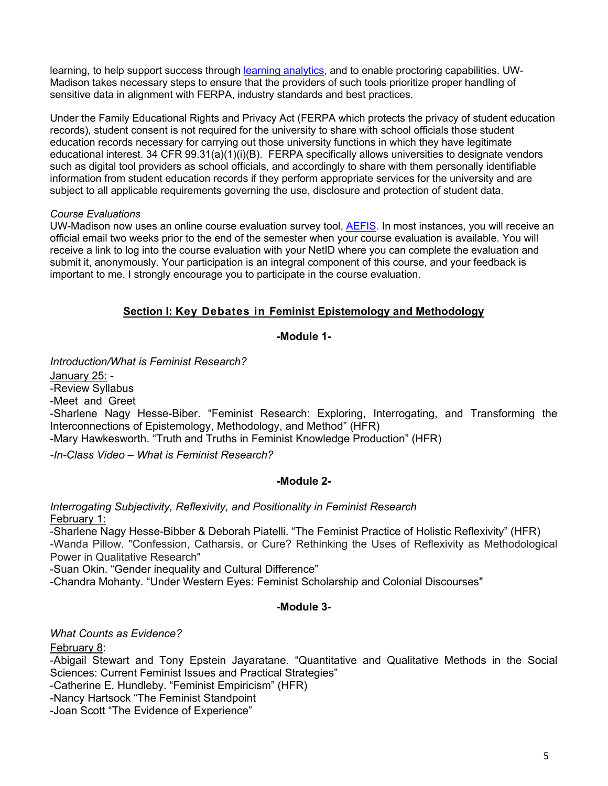learning, to help support success through learning analytics, and to enable proctoring capabilities. UW-Madison takes necessary steps to ensure that the providers of such tools prioritize proper handling of sensitive data in alignment with FERPA, industry standards and best practices.

Under the Family Educational Rights and Privacy Act (FERPA which protects the privacy of student education records), student consent is not required for the university to share with school officials those student education records necessary for carrying out those university functions in which they have legitimate educational interest. 34 CFR 99.31(a)(1)(i)(B). FERPA specifically allows universities to designate vendors such as digital tool providers as school officials, and accordingly to share with them personally identifiable information from student education records if they perform appropriate services for the university and are subject to all applicable requirements governing the use, disclosure and protection of student data.

### *Course Evaluations*

UW-Madison now uses an online course evaluation survey tool, AEFIS. In most instances, you will receive an official email two weeks prior to the end of the semester when your course evaluation is available. You will receive a link to log into the course evaluation with your NetID where you can complete the evaluation and submit it, anonymously. Your participation is an integral component of this course, and your feedback is important to me. I strongly encourage you to participate in the course evaluation.

# **Section I: Key Debates in Feminist Epistemology and Methodology**

#### **-Module 1-**

*Introduction/What is Feminist Research?*

January 25: -

-Review Syllabus

-Meet and Greet

-Sharlene Nagy Hesse-Biber. "Feminist Research: Exploring, Interrogating, and Transforming the Interconnections of Epistemology, Methodology, and Method" (HFR)

-Mary Hawkesworth. "Truth and Truths in Feminist Knowledge Production" (HFR)

*-In-Class Video – What is Feminist Research?*

### **-Module 2-**

*Interrogating Subjectivity, Reflexivity, and Positionality in Feminist Research* February 1:

-Sharlene Nagy Hesse-Bibber & Deborah Piatelli. "The Feminist Practice of Holistic Reflexivity" (HFR) -Wanda Pillow. "Confession, Catharsis, or Cure? Rethinking the Uses of Reflexivity as Methodological Power in Qualitative Research"

-Suan Okin. "Gender inequality and Cultural Difference"

-Chandra Mohanty. "Under Western Eyes: Feminist Scholarship and Colonial Discourses"

# **-Module 3-**

*What Counts as Evidence?*

February 8:

-Abigail Stewart and Tony Epstein Jayaratane. "Quantitative and Qualitative Methods in the Social Sciences: Current Feminist Issues and Practical Strategies"

-Catherine E. Hundleby. "Feminist Empiricism" (HFR)

-Nancy Hartsock "The Feminist Standpoint

-Joan Scott "The Evidence of Experience"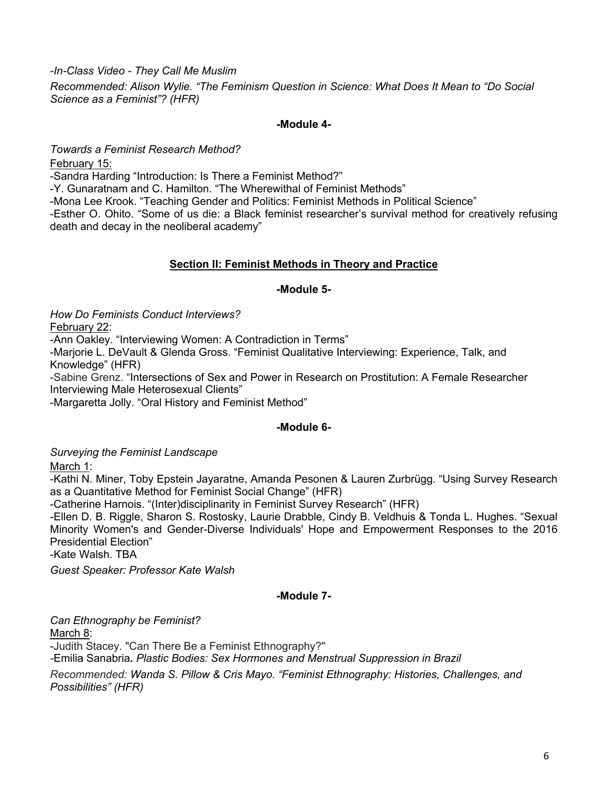*-In-Class Video - They Call Me Muslim*

*Recommended: Alison Wylie. "The Feminism Question in Science: What Does It Mean to "Do Social Science as a Feminist"? (HFR)*

#### **-Module 4-**

*Towards a Feminist Research Method?*

February 15:

-Sandra Harding "Introduction: Is There a Feminist Method?"

-Y. Gunaratnam and C. Hamilton. "The Wherewithal of Feminist Methods"

-Mona Lee Krook. "Teaching Gender and Politics: Feminist Methods in Political Science"

-Esther O. Ohito. "Some of us die: a Black feminist researcher's survival method for creatively refusing death and decay in the neoliberal academy"

# **Section II: Feminist Methods in Theory and Practice**

### **-Module 5-**

*How Do Feminists Conduct Interviews?*

February 22:

-Ann Oakley. "Interviewing Women: A Contradiction in Terms"

-Marjorie L. DeVault & Glenda Gross. "Feminist Qualitative Interviewing: Experience, Talk, and Knowledge" (HFR)

-Sabine Grenz. "Intersections of Sex and Power in Research on Prostitution: A Female Researcher Interviewing Male Heterosexual Clients"

-Margaretta Jolly. "Oral History and Feminist Method"

### **-Module 6-**

*Surveying the Feminist Landscape*

March 1:

-Kathi N. Miner, Toby Epstein Jayaratne, Amanda Pesonen & Lauren Zurbrügg. "Using Survey Research as a Quantitative Method for Feminist Social Change" (HFR)

-Catherine Harnois. "(Inter)disciplinarity in Feminist Survey Research" (HFR)

-Ellen D. B. Riggle, Sharon S. Rostosky, Laurie Drabble, Cindy B. Veldhuis & Tonda L. Hughes. "Sexual Minority Women's and Gender-Diverse Individuals' Hope and Empowerment Responses to the 2016 Presidential Election"

-Kate Walsh. TBA

*Guest Speaker: Professor Kate Walsh*

# **-Module 7-**

*Can Ethnography be Feminist?* March 8: -Judith Stacey. "Can There Be a Feminist Ethnography?" *-*Emilia Sanabria*. Plastic Bodies: Sex Hormones and Menstrual Suppression in Brazil Recommended: Wanda S. Pillow & Cris Mayo. "Feminist Ethnography: Histories, Challenges, and Possibilities" (HFR)*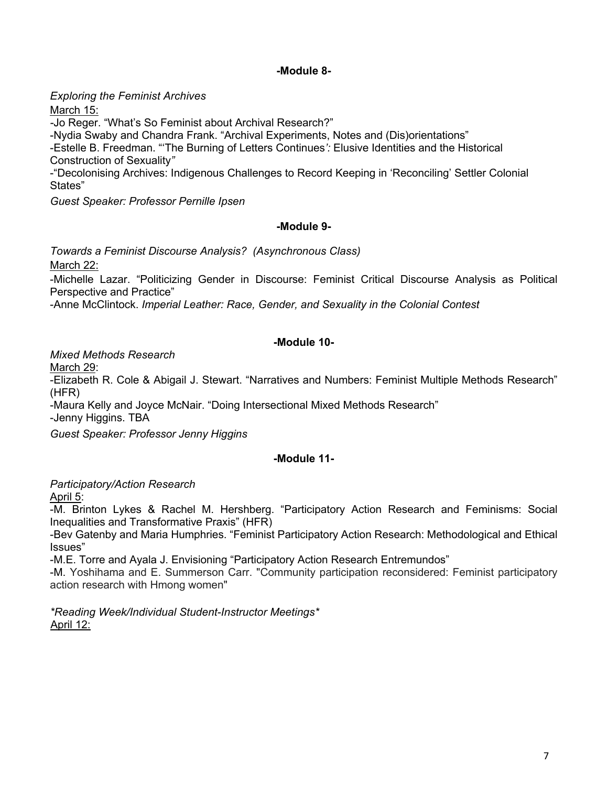## **-Module 8-**

*Exploring the Feminist Archives*

March 15:

*-*Jo Reger. "What's So Feminist about Archival Research?"

-Nydia Swaby and Chandra Frank. "Archival Experiments, Notes and (Dis)orientations" -Estelle B. Freedman. "'The Burning of Letters Continues*':* Elusive Identities and the Historical Construction of Sexuality*"*

-"Decolonising Archives: Indigenous Challenges to Record Keeping in 'Reconciling' Settler Colonial States"

*Guest Speaker: Professor Pernille Ipsen*

### **-Module 9-**

*Towards a Feminist Discourse Analysis? (Asynchronous Class)* March 22:

-Michelle Lazar. "Politicizing Gender in Discourse: Feminist Critical Discourse Analysis as Political Perspective and Practice"

-Anne McClintock. *Imperial Leather: Race, Gender, and Sexuality in the Colonial Contest*

# **-Module 10-**

*Mixed Methods Research*

March 29:

-Elizabeth R. Cole & Abigail J. Stewart. "Narratives and Numbers: Feminist Multiple Methods Research" (HFR)

-Maura Kelly and Joyce McNair. "Doing Intersectional Mixed Methods Research" -Jenny Higgins. TBA

*Guest Speaker: Professor Jenny Higgins*

# **-Module 11-**

*Participatory/Action Research*

April 5:

-M. Brinton Lykes & Rachel M. Hershberg. "Participatory Action Research and Feminisms: Social Inequalities and Transformative Praxis" (HFR)

-Bev Gatenby and Maria Humphries. "Feminist Participatory Action Research: Methodological and Ethical Issues"

-M.E. Torre and Ayala J. Envisioning "Participatory Action Research Entremundos"

-M. Yoshihama and E. Summerson Carr. "Community participation reconsidered: Feminist participatory action research with Hmong women"

*\*Reading Week/Individual Student-Instructor Meetings\** April 12: